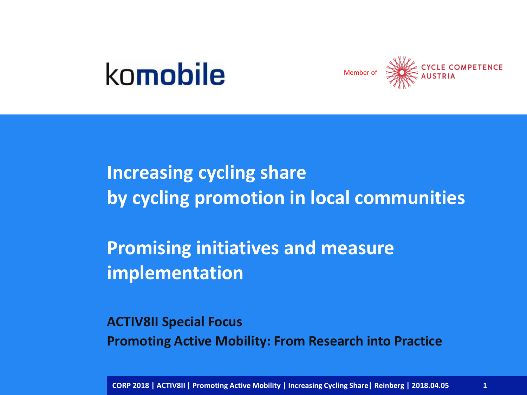## komobile



**Increasing cycling share by cycling promotion in local communities** 

**Promising initiatives and measure implementation**

**ACTIV8II Special Focus Promoting Active Mobility: From Research into Practice**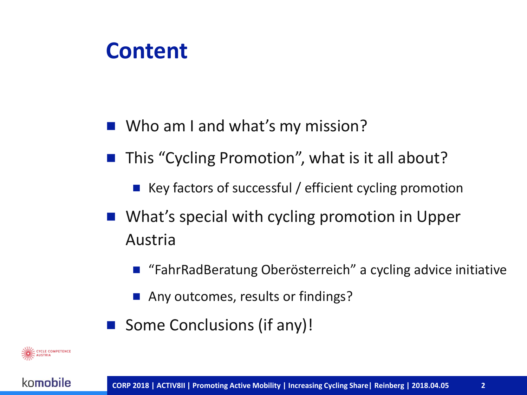#### **Content**

- Who am I and what's my mission?
- This "Cycling Promotion", what is it all about?
	- Key factors of successful / efficient cycling promotion
- What's special with cycling promotion in Upper Austria
	- "FahrRadBeratung Oberösterreich" a cycling advice initiative
	- Any outcomes, results or findings?
- Some Conclusions (if any)!

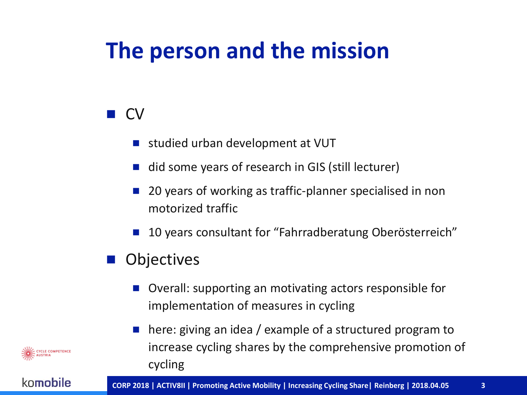## **The person and the mission**

#### **D** CV

- studied urban development at VUT
- did some years of research in GIS (still lecturer)
- 20 years of working as traffic-planner specialised in non motorized traffic
- 10 years consultant for "Fahrradberatung Oberösterreich"

#### **Objectives**

- Overall: supporting an motivating actors responsible for implementation of measures in cycling
- here: giving an idea / example of a structured program to increase cycling shares by the comprehensive promotion of cycling

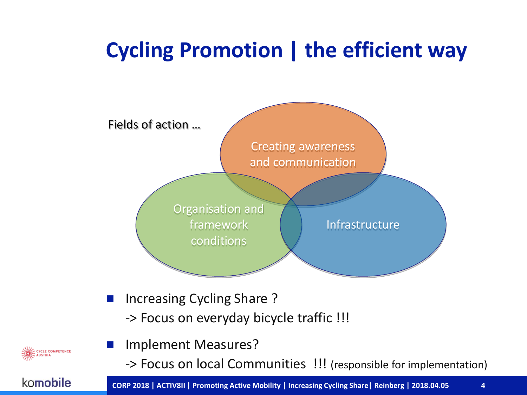### **Cycling Promotion | the efficient way**



**CYCLE COMPETENCE**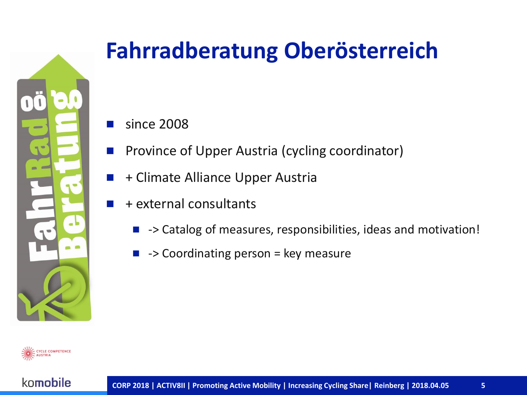

## **Fahrradberatung Oberösterreich**

- since 2008
- Province of Upper Austria (cycling coordinator)
	- + Climate Alliance Upper Austria
- + external consultants
	- -> Catalog of measures, responsibilities, ideas and motivation!
		- -> Coordinating person = key measure

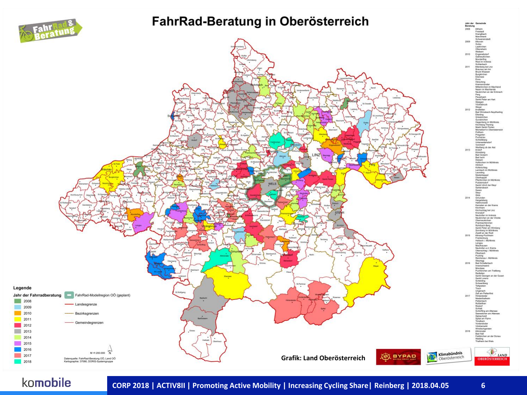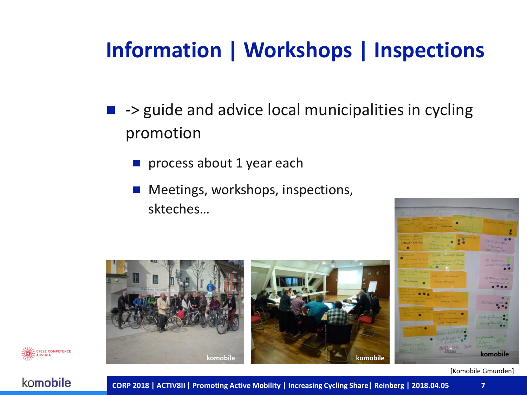### **Information | Workshops | Inspections**

- $\blacksquare$  -> guide and advice local municipalities in cycling promotion
	- process about 1 year each
	- Meetings, workshops, inspections, skteches…





[Komobile Gmunden]

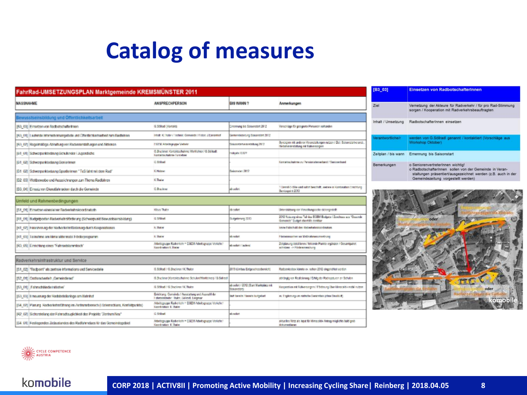## **Catalog of measures**

| FahrRad-UMSETZUNGSPLAN Marktgemeinde KREMSMÜNSTER 2011                               |                                                                                                 |                                                    |                                                                                                          |
|--------------------------------------------------------------------------------------|-------------------------------------------------------------------------------------------------|----------------------------------------------------|----------------------------------------------------------------------------------------------------------|
| <b>NASSNAHME</b>                                                                     | <b>ANSPRECHPERSON</b>                                                                           | <b>GIS WANN?</b>                                   | Anmerkungen                                                                                              |
| Bewusstseinsbildung und Öffentlichkeitsarbeit                                        |                                                                                                 |                                                    |                                                                                                          |
| [83-03] Einsetzen von Radbatschaftertmen                                             | <b>G.Stillad Kantaks</b>                                                                        | Ciremana Ne Sakerstert 2012                        | Verschläge für geognete Personen vorhanden                                                               |
| [83-01] Lautenda Informationsangabela und Citarillichkartsarbeit zum Radfehren       | Istyl: K. Tyler / Trobalc Gemeinds / Feter: J.Eimarthef                                         | Some nelepsiting Screamstert 2012                  |                                                                                                          |
| [83-02] Rageimäßige Abheltung von Radverensteltungen und Aktionen                    | FGFM Advertisings Vietner                                                                       | <b>CIFC pn division to the track C</b>             | Syntagion mit anderen Veranställungen nichten / Ziel: Sakonstarberanst.<br>Nebmesretelang mt falwrecigen |
| [B1] 01] Schwerpunktsetzung Schulender / Juperdiche                                  | G.Buckner Konstituthehm: Wehlcher / G.Salited:<br>Koraitartoime lunisher                        | <b>NOON AREA</b>                                   |                                                                                                          |
| [B1 02] Schwerpunktoolzung Gemorimen                                                 | C.818w6                                                                                         |                                                    | Kennettezholme zu Personstangeberd / San exchand                                                         |
| [61-02] Schwerpunktsetzung Sportlerinnen "TuS fahrt mit dem Rad"                     | K Helmer                                                                                        | Sainmaint 2012                                     |                                                                                                          |
| [32 03] Wetbewebe und Auszeichnungen zum Thema Radfahren                             | K Thaiw                                                                                         |                                                    |                                                                                                          |
| [B3] 04] Einsalz von Dienstlahnadern durch die Gemeinde                              | <b>C.Brackran</b>                                                                               | ab solar                                           | 1 Unreal-C-20 in and safet beachaft, webere in Kombination Emphistop<br>Bevicepairt 2113                 |
| Umfeld und Rahmenbedingungen                                                         |                                                                                                 |                                                    |                                                                                                          |
| [51_01] Einsatzen eines/einer Radverkehrskoordinatorh                                | <b>Klass Thalar</b>                                                                             | th tobe                                            | Unterstützung von Verwollungssiche sichergesticht                                                        |
| [R1_01] Budgetpostan Radverkehrsförderung (Schwerpunkt Bawusstsainsbildung)          | G.Stilbad                                                                                       | <b>Judgettening 2013</b>                           | 2012 Nutzung eines Teil des EGEM Eudoste / Zuschess zus "Geschein<br>Gements" Dutget ebentilit strakbar  |
| [R1-07] Finanziosung der Radverkehrstänterung durch Kooperationen                    | K thater                                                                                        |                                                    | sena hidschuld des Rechedolysiscotination.                                                               |
| jik1 000 Ternshme am klima aldiv matri Förderprogramm.                               | K Ibn ar                                                                                        | sh refer                                           | Pinneseyarten av Maßnahmerumsetrung                                                                      |
| [R3-05] Einrichtung eines "Fahrtadstammtisch"                                        | Aftertsgruppe Radio Rohr = EGEM Arbeitsgrupp: Vorkchr /<br>Korel ratios K. Duran                | ab relat Cadard                                    | Zeitplanung detzillieren / fehlizinde Plunkte ergänzen / Gesamtpaket.<br>achidase in Fördara naschung    |
| Radverkehrsinfrastruktur und Service                                                 |                                                                                                 |                                                    |                                                                                                          |
| [51_02] "Radpoint" als zentrale Informations and Servicestelle                       | G.Stihad / G.Brackner / K. Thaler                                                               | 2013 (United Extensive technicit)                  | Radsovicebox klimte ex. sehon 2012 cingerichtet verden.                                                  |
| [52_01] Cratisradvede/h_Cerneledered"                                                | G.Duckner (Kompittuffuhrer; Schulen/Werktring) / G.Saligati                                     |                                                    | abitingig von Roalisierung / Erfelg der Radreptturen an Schulen-                                         |
| [53.01] Fahradsländarintlates'                                                       | G.Stibad./ G.Duckner/K.Thaier                                                                   | ab solar, / 2192 (float Marktolatz mk.<br>Steamton | Keapeel on mit Nahversorgen / Förderung Über klimatakte mobil nutzen.                                    |
| [53-03] Emauerung der Hadabstellaninge am Hallmhef                                   | Emichtung: Querainda / Ausstattung und Auswahl der<br>EstimateDader: Thaler, Salimal, Everyrain | <b>But bends / books butgetad</b>                  | w. Engineerg um vertiche Sanarshor (stra Daudich)                                                        |
| [34 07] Planung RadioriohesChrang im Zortramsbesorch @ Ockenschluss, Konfliktpunkto) | Meltguspe Raderich = EGEM Abdisgrass Verköhr!<br>Kandashan K. Baby                              |                                                    |                                                                                                          |
| [R2_02] Sicherstellung der Fehrnadtsuglichkeit des Projekte "Zentrum Neu"            | G.Stilbell                                                                                      | ab rollet                                          |                                                                                                          |
| [S4] 01] Festiggendes Ziebustandes des Radfahrretaes für das Gemeindegebiet          | Arbeitspruppe Radio Rehr = EGEM Arbeitsgruppe Verkehr /<br>Kordination K. Inder                 |                                                    | alcustes filerz als input für klimataktik Antrag möglichts bald groß.<br>dokumentieren                   |
|                                                                                      |                                                                                                 |                                                    |                                                                                                          |

| <b>B3 031</b>       | Einsetzen von Radbotschafterinnen                                                                                                                                                                    |  |  |
|---------------------|------------------------------------------------------------------------------------------------------------------------------------------------------------------------------------------------------|--|--|
| Ziel                | Vernetzung der Akteure für Radverkehr / für pro Rad-Stimmung<br>sorgen / Kooperation mit Radverkehrsbeauftragten                                                                                     |  |  |
| nhalt / Umsetzung   | RadbotschafterInnen einsetzen                                                                                                                                                                        |  |  |
| /erantwortliche/r   | werden von G.Söllradl genannt / kontaktiert (Vorschläge aus<br>Workshop Oktober)                                                                                                                     |  |  |
| Zeitplan / bis wann | Ernennung bis Saisonstart                                                                                                                                                                            |  |  |
| <b>Bemerkungen</b>  | o SeniorenvertreterInnen wichtig!<br>o Radbotschafterinnen sollen von der Gemeinde in Veran-<br>staltungen präsentiert/ausgezeichnet werden (z.B. auch in der<br>Gemeindezeitung vorgestellt werden) |  |  |



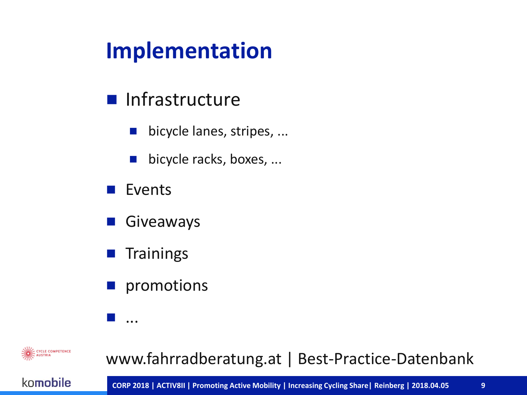## **Implementation**

#### **Infrastructure**

- bicycle lanes, stripes, ...
- $\blacksquare$  bicycle racks, boxes, ...
- $\blacksquare$  Events
- Giveaways
- **T** Trainings

...

**promotions** 

CYCLE COMPETENCE

#### www.fahrradberatung.at | Best-Practice-Datenbank

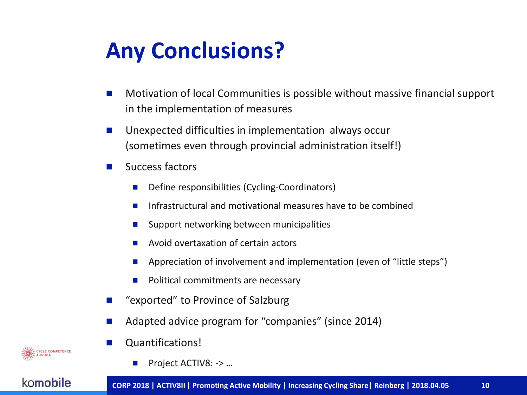## **Any Conclusions?**

- Motivation of local Communities is possible without massive financial support in the implementation of measures
- Unexpected difficulties in implementation always occur (sometimes even through provincial administration itself!)
- $\blacksquare$  Success factors
	- Define responsibilities (Cycling-Coordinators)
	- Infrastructural and motivational measures have to be combined
	- $\blacksquare$  Support networking between municipalities
	- Avoid overtaxation of certain actors
	- Appreciation of involvement and implementation (even of "little steps")
	- Political commitments are necessary
- "exported" to Province of Salzburg
- Adapted advice program for "companies" (since 2014)
- **Quantifications!** 
	- Project ACTIV8: -> …

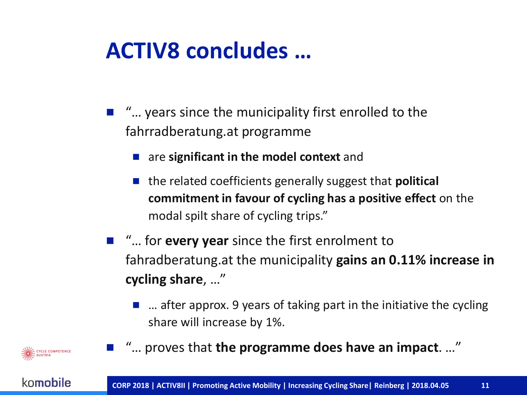## **ACTIV8 concludes …**

- "... years since the municipality first enrolled to the fahrradberatung.at programme
	- are **significant in the model context** and
	- the related coefficients generally suggest that **political commitment in favour of cycling has a positive effect** on the modal spilt share of cycling trips."
- "... for **every year** since the first enrolment to fahradberatung.at the municipality **gains an 0.11% increase in cycling share**, …"
	- $\blacksquare$  ... after approx. 9 years of taking part in the initiative the cycling share will increase by 1%.
- "... proves that **the programme does have an impact**. ..."